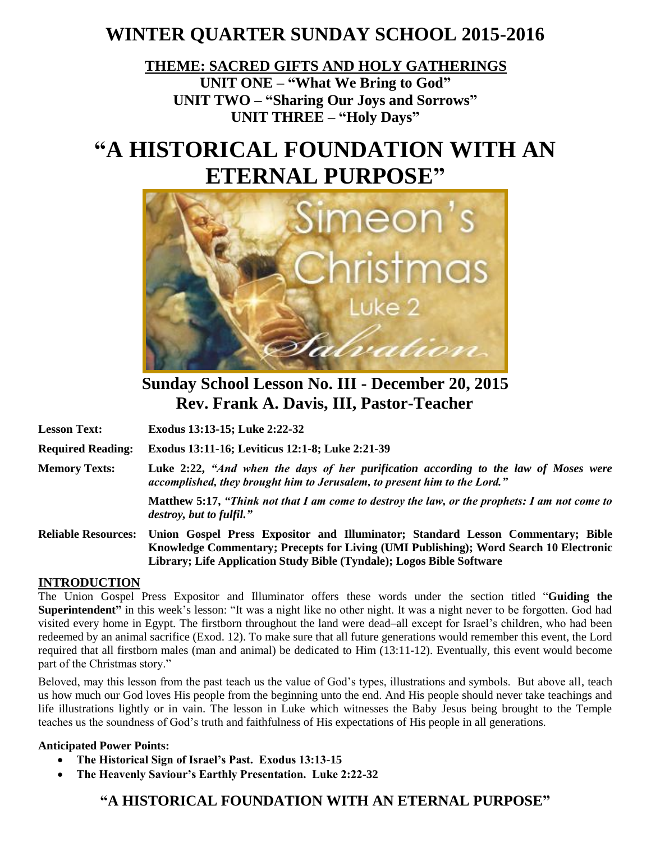## **WINTER QUARTER SUNDAY SCHOOL 2015-2016**

**THEME: SACRED GIFTS AND HOLY GATHERINGS UNIT ONE – "What We Bring to God" UNIT TWO – "Sharing Our Joys and Sorrows" UNIT THREE – "Holy Days"**

# **"A HISTORICAL FOUNDATION WITH AN ETERNAL PURPOSE"**



**Sunday School Lesson No. III - December 20, 2015 Rev. Frank A. Davis, III, Pastor-Teacher**

**Lesson Text: Exodus 13:13-15; Luke 2:22-32**

**Required Reading: Exodus 13:11-16; Leviticus 12:1-8; Luke 2:21-39**

**Memory Texts: Luke 2:22,** *"And when the days of her purification according to the law of Moses were accomplished, they brought him to Jerusalem, to present him to the Lord."*

> **Matthew 5:17,** *"Think not that I am come to destroy the law, or the prophets: I am not come to destroy, but to fulfil."*

**Reliable Resources: Union Gospel Press Expositor and Illuminator; Standard Lesson Commentary; Bible Knowledge Commentary; Precepts for Living (UMI Publishing); Word Search 10 Electronic Library; Life Application Study Bible (Tyndale); Logos Bible Software**

#### **INTRODUCTION**

The Union Gospel Press Expositor and Illuminator offers these words under the section titled "**Guiding the Superintendent"** in this week's lesson: "It was a night like no other night. It was a night never to be forgotten. God had visited every home in Egypt. The firstborn throughout the land were dead–all except for Israel's children, who had been redeemed by an animal sacrifice (Exod. 12). To make sure that all future generations would remember this event, the Lord required that all firstborn males (man and animal) be dedicated to Him (13:11-12). Eventually, this event would become part of the Christmas story."

Beloved, may this lesson from the past teach us the value of God's types, illustrations and symbols. But above all, teach us how much our God loves His people from the beginning unto the end. And His people should never take teachings and life illustrations lightly or in vain. The lesson in Luke which witnesses the Baby Jesus being brought to the Temple teaches us the soundness of God's truth and faithfulness of His expectations of His people in all generations.

#### **Anticipated Power Points:**

- **The Historical Sign of Israel's Past. Exodus 13:13-15**
- **The Heavenly Saviour's Earthly Presentation. Luke 2:22-32**

#### **"A HISTORICAL FOUNDATION WITH AN ETERNAL PURPOSE"**